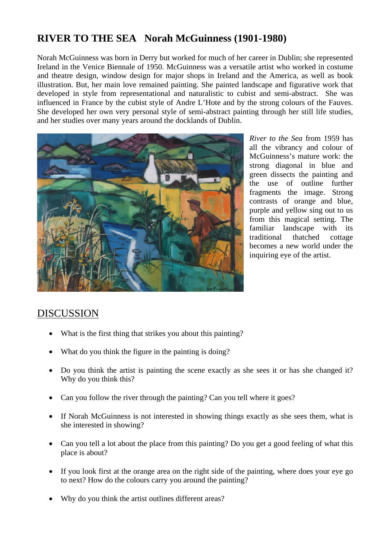## **RIVER TO THE SEA Norah McGuinness (1901-1980)**

Norah McGuinness was born in Derry but worked for much of her career in Dublin; she represented Ireland in the Venice Biennale of 1950. McGuinness was a versatile artist who worked in costume and theatre design, window design for major shops in Ireland and the America, as well as book illustration. But, her main love remained painting. She painted landscape and figurative work that developed in style from representational and naturalistic to cubist and semi-abstract. She was influenced in France by the cubist style of Andre L'Hote and by the strong colours of the Fauves. She developed her own very personal style of semi-abstract painting through her still life studies, and her studies over many years around the docklands of Dublin.



*River to the Sea* from 1959 has all the vibrancy and colour of McGuinness's mature work: the strong diagonal in blue and green dissects the painting and the use of outline further fragments the image. Strong contrasts of orange and blue, purple and yellow sing out to us from this magical setting. The familiar landscape with its traditional thatched cottage becomes a new world under the inquiring eye of the artist.

## DISCUSSION

- What is the first thing that strikes you about this painting?
- What do you think the figure in the painting is doing?
- Do you think the artist is painting the scene exactly as she sees it or has she changed it? Why do you think this?
- Can you follow the river through the painting? Can you tell where it goes?
- If Norah McGuinness is not interested in showing things exactly as she sees them, what is she interested in showing?
- Can you tell a lot about the place from this painting? Do you get a good feeling of what this place is about?
- If you look first at the orange area on the right side of the painting, where does your eye go to next? How do the colours carry you around the painting?
- Why do you think the artist outlines different areas?